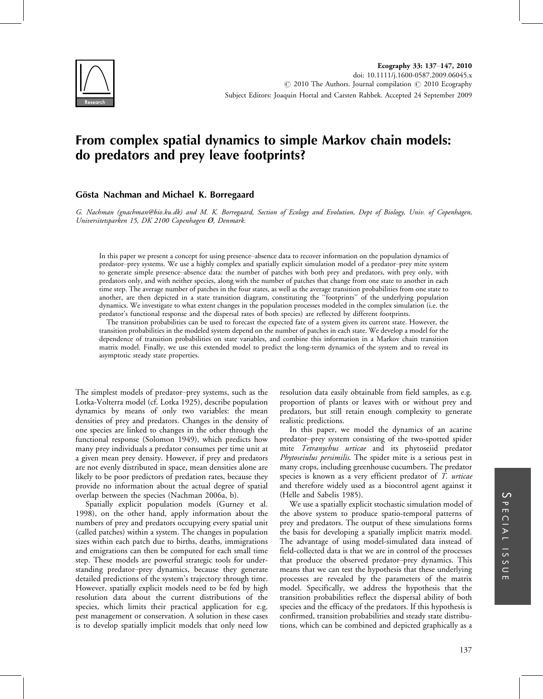

# From complex spatial dynamics to simple Markov chain models: do predators and prey leave footprints?

# Gösta Nachman and Michael K. Borregaard

G. Nachman (gnachman@bio.ku.dk) and M. K. Borregaard, Section of Ecology and Evolution, Dept of Biology, Univ. of Copenhagen, Universitetsparken 15, DK 2100 Copenhagen Ø, Denmark.

In this paper we present a concept for using presence-absence data to recover information on the population dynamics of predator-prey systems. We use a highly complex and spatially explicit simulation model of a predator-prey mite system to generate simple presence-absence data: the number of patches with both prey and predators, with prey only, with predators only, and with neither species, along with the number of patches that change from one state to another in each time step. The average number of patches in the four states, as well as the average transition probabilities from one state to another, are then depicted in a state transition diagram, constituting the ''footprints'' of the underlying population dynamics. We investigate to what extent changes in the population processes modeled in the complex simulation (i.e. the predator's functional response and the dispersal rates of both species) are reflected by different footprints.

The transition probabilities can be used to forecast the expected fate of a system given its current state. However, the transition probabilities in the modeled system depend on the number of patches in each state. We develop a model for the dependence of transition probabilities on state variables, and combine this information in a Markov chain transition matrix model. Finally, we use this extended model to predict the long-term dynamics of the system and to reveal its asymptotic steady state properties.

The simplest models of predator-prey systems, such as the Lotka-Volterra model (cf. Lotka 1925), describe population dynamics by means of only two variables: the mean densities of prey and predators. Changes in the density of one species are linked to changes in the other through the functional response (Solomon 1949), which predicts how many prey individuals a predator consumes per time unit at a given mean prey density. However, if prey and predators are not evenly distributed in space, mean densities alone are likely to be poor predictors of predation rates, because they provide no information about the actual degree of spatial overlap between the species (Nachman 2006a, b).

Spatially explicit population models (Gurney et al. 1998), on the other hand, apply information about the numbers of prey and predators occupying every spatial unit (called patches) within a system. The changes in population sizes within each patch due to births, deaths, immigrations and emigrations can then be computed for each small time step. These models are powerful strategic tools for understanding predator-prey dynamics, because they generate detailed predictions of the system's trajectory through time. However, spatially explicit models need to be fed by high resolution data about the current distributions of the species, which limits their practical application for e.g. pest management or conservation. A solution in these cases is to develop spatially implicit models that only need low

resolution data easily obtainable from field samples, as e.g. proportion of plants or leaves with or without prey and predators, but still retain enough complexity to generate realistic predictions.

In this paper, we model the dynamics of an acarine predator-prey system consisting of the two-spotted spider mite Tetranychus urticae and its phytoseiid predator Phytoseiulus persimilis. The spider mite is a serious pest in many crops, including greenhouse cucumbers. The predator species is known as a very efficient predator of T. urticae and therefore widely used as a biocontrol agent against it (Helle and Sabelis 1985).

We use a spatially explicit stochastic simulation model of the above system to produce spatio-temporal patterns of prey and predators. The output of these simulations forms the basis for developing a spatially implicit matrix model. The advantage of using model-simulated data instead of field-collected data is that we are in control of the processes that produce the observed predator-prey dynamics. This means that we can test the hypothesis that these underlying processes are revealed by the parameters of the matrix model. Specifically, we address the hypothesis that the transition probabilities reflect the dispersal ability of both species and the efficacy of the predators. If this hypothesis is confirmed, transition probabilities and steady state distributions, which can be combined and depicted graphically as a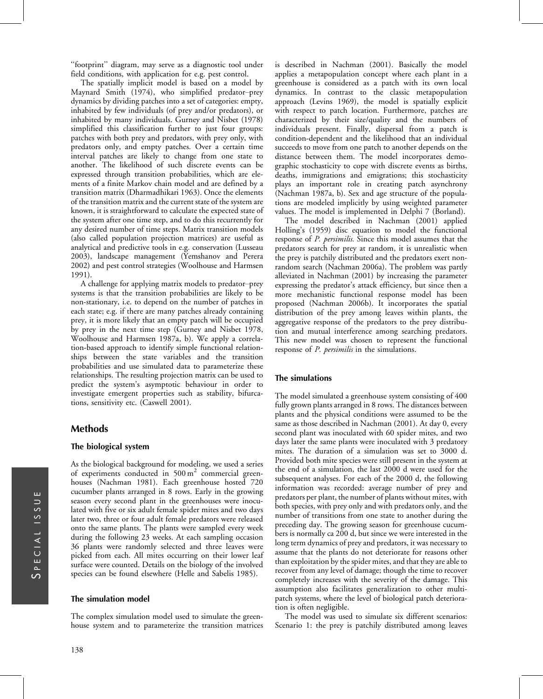''footprint'' diagram, may serve as a diagnostic tool under field conditions, with application for e.g. pest control.

The spatially implicit model is based on a model by Maynard Smith (1974), who simplified predator-prey dynamics by dividing patches into a set of categories: empty, inhabited by few individuals (of prey and/or predators), or inhabited by many individuals. Gurney and Nisbet (1978) simplified this classification further to just four groups: patches with both prey and predators, with prey only, with predators only, and empty patches. Over a certain time interval patches are likely to change from one state to another. The likelihood of such discrete events can be expressed through transition probabilities, which are elements of a finite Markov chain model and are defined by a transition matrix (Dharmadhikari 1963). Once the elements of the transition matrix and the current state of the system are known, it is straightforward to calculate the expected state of the system after one time step, and to do this recurrently for any desired number of time steps. Matrix transition models (also called population projection matrices) are useful as analytical and predictive tools in e.g. conservation (Lusseau 2003), landscape management (Yemshanov and Perera 2002) and pest control strategies (Woolhouse and Harmsen 1991).

A challenge for applying matrix models to predator-prey systems is that the transition probabilities are likely to be non-stationary, i.e. to depend on the number of patches in each state; e.g. if there are many patches already containing prey, it is more likely that an empty patch will be occupied by prey in the next time step (Gurney and Nisbet 1978, Woolhouse and Harmsen 1987a, b). We apply a correlation-based approach to identify simple functional relationships between the state variables and the transition probabilities and use simulated data to parameterize these relationships. The resulting projection matrix can be used to predict the system's asymptotic behaviour in order to investigate emergent properties such as stability, bifurcations, sensitivity etc. (Caswell 2001).

# Methods

## The biological system

As the biological background for modeling, we used a series of experiments conducted in  $500 \text{ m}^2$  commercial greenhouses (Nachman 1981). Each greenhouse hosted 720 cucumber plants arranged in 8 rows. Early in the growing season every second plant in the greenhouses were inoculated with five or six adult female spider mites and two days later two, three or four adult female predators were released onto the same plants. The plants were sampled every week during the following 23 weeks. At each sampling occasion 36 plants were randomly selected and three leaves were picked from each. All mites occurring on their lower leaf surface were counted. Details on the biology of the involved species can be found elsewhere (Helle and Sabelis 1985).

#### The simulation model

The complex simulation model used to simulate the greenhouse system and to parameterize the transition matrices

is described in Nachman (2001). Basically the model applies a metapopulation concept where each plant in a greenhouse is considered as a patch with its own local dynamics. In contrast to the classic metapopulation approach (Levins 1969), the model is spatially explicit with respect to patch location. Furthermore, patches are characterized by their size/quality and the numbers of individuals present. Finally, dispersal from a patch is condition-dependent and the likelihood that an individual succeeds to move from one patch to another depends on the distance between them. The model incorporates demographic stochasticity to cope with discrete events as births, deaths, immigrations and emigrations; this stochasticity plays an important role in creating patch asynchrony (Nachman 1987a, b). Sex and age structure of the populations are modeled implicitly by using weighted parameter values. The model is implemented in Delphi 7 (Borland).

The model described in Nachman (2001) applied Holling's (1959) disc equation to model the functional response of P. *persimilis*. Since this model assumes that the predators search for prey at random, it is unrealistic when the prey is patchily distributed and the predators exert nonrandom search (Nachman 2006a). The problem was partly alleviated in Nachman (2001) by increasing the parameter expressing the predator's attack efficiency, but since then a more mechanistic functional response model has been proposed (Nachman 2006b). It incorporates the spatial distribution of the prey among leaves within plants, the aggregative response of the predators to the prey distribution and mutual interference among searching predators. This new model was chosen to represent the functional response of *P. persimilis* in the simulations.

#### The simulations

The model simulated a greenhouse system consisting of 400 fully grown plants arranged in 8 rows. The distances between plants and the physical conditions were assumed to be the same as those described in Nachman (2001). At day 0, every second plant was inoculated with 60 spider mites, and two days later the same plants were inoculated with 3 predatory mites. The duration of a simulation was set to 3000 d. Provided both mite species were still present in the system at the end of a simulation, the last 2000 d were used for the subsequent analyses. For each of the 2000 d, the following information was recorded: average number of prey and predators per plant, the number of plants without mites, with both species, with prey only and with predators only, and the number of transitions from one state to another during the preceding day. The growing season for greenhouse cucumbers is normally ca 200 d, but since we were interested in the long term dynamics of prey and predators, it was necessary to assume that the plants do not deteriorate for reasons other than exploitation by the spider mites, and that they are able to recover from any level of damage; though the time to recover completely increases with the severity of the damage. This assumption also facilitates generalization to other multipatch systems, where the level of biological patch deterioration is often negligible.

The model was used to simulate six different scenarios: Scenario 1: the prey is patchily distributed among leaves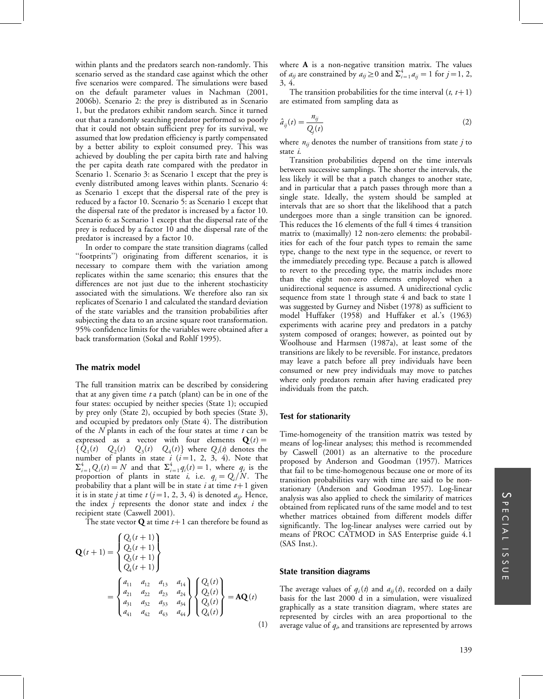within plants and the predators search non-randomly. This scenario served as the standard case against which the other five scenarios were compared. The simulations were based on the default parameter values in Nachman (2001, 2006b). Scenario 2: the prey is distributed as in Scenario 1, but the predators exhibit random search. Since it turned out that a randomly searching predator performed so poorly that it could not obtain sufficient prey for its survival, we assumed that low predation efficiency is partly compensated by a better ability to exploit consumed prey. This was achieved by doubling the per capita birth rate and halving the per capita death rate compared with the predator in Scenario 1. Scenario 3: as Scenario 1 except that the prey is evenly distributed among leaves within plants. Scenario 4: as Scenario 1 except that the dispersal rate of the prey is reduced by a factor 10. Scenario 5: as Scenario 1 except that the dispersal rate of the predator is increased by a factor 10. Scenario 6: as Scenario 1 except that the dispersal rate of the prey is reduced by a factor 10 and the dispersal rate of the predator is increased by a factor 10.

In order to compare the state transition diagrams (called ''footprints'') originating from different scenarios, it is necessary to compare them with the variation among replicates within the same scenario; this ensures that the differences are not just due to the inherent stochasticity associated with the simulations. We therefore also ran six replicates of Scenario 1 and calculated the standard deviation of the state variables and the transition probabilities after subjecting the data to an arcsine square root transformation. 95% confidence limits for the variables were obtained after a back transformation (Sokal and Rohlf 1995).

#### The matrix model

The full transition matrix can be described by considering that at any given time  $t$  a patch (plant) can be in one of the four states: occupied by neither species (State 1); occupied by prey only (State 2), occupied by both species (State 3), and occupied by predators only (State 4). The distribution of the  $N$  plants in each of the four states at time  $t$  can be expressed as a vector with four elements  $\mathbf{Q}(t)$  =  ${Q_1(t) \quad Q_2(t) \quad Q_3(t) \quad Q_4(t)}$  where  $Q_i(t)$  denotes the number of plants in state  $i$  ( $i=1, 2, 3, 4$ ). Note that  $\Sigma_{i=1}^4 Q_i(t) = N$  and that  $\Sigma_{i=1}^4 q_i(t) = 1$ , where  $q_i$  is the proportion of plants in state *i*, i.e.  $q_i = Q_i/N$ . The probability that a plant will be in state *i* at time  $t+1$  given it is in state *j* at time  $t$  (*j* = 1, 2, 3, 4) is denoted  $a_{ij}$ . Hence, the index  $j$  represents the donor state and index  $i$  the recipient state (Caswell 2001).

The state vector **Q** at time  $t+1$  can therefore be found as

99.5

$$
\mathbf{Q}(t+1) = \begin{cases} Q_1(t+1) \\ Q_2(t+1) \\ Q_3(t+1) \\ Q_4(t+1) \end{cases}
$$
  
= 
$$
\begin{cases} a_{11} & a_{12} & a_{13} & a_{14} \\ a_{21} & a_{22} & a_{23} & a_{24} \\ a_{31} & a_{32} & a_{33} & a_{34} \\ a_{41} & a_{42} & a_{43} & a_{44} \end{cases} \begin{cases} Q_1(t) \\ Q_2(t) \\ Q_3(t) \\ Q_4(t) \end{cases} = \mathbf{AQ}(t)
$$
 (1)

where A is a non-negative transition matrix. The values of  $a_{ij}$  are constrained by  $a_{ij} \ge 0$  and  $\sum_{i=1}^{4} a_{ij} = 1$  for  $j = 1, 2,$ 3, 4.

The transition probabilities for the time interval  $(t, t+1)$ are estimated from sampling data as

$$
\hat{a}_{ij}(t) = \frac{n_{ij}}{Q_j(t)}\tag{2}
$$

where  $n_{ij}$  denotes the number of transitions from state j to state i.

Transition probabilities depend on the time intervals between successive samplings. The shorter the intervals, the less likely it will be that a patch changes to another state, and in particular that a patch passes through more than a single state. Ideally, the system should be sampled at intervals that are so short that the likelihood that a patch undergoes more than a single transition can be ignored. This reduces the 16 elements of the full 4 times 4 transition matrix to (maximally) 12 non-zero elements: the probabilities for each of the four patch types to remain the same type, change to the next type in the sequence, or revert to the immediately preceding type. Because a patch is allowed to revert to the preceding type, the matrix includes more than the eight non-zero elements employed when a unidirectional sequence is assumed. A unidirectional cyclic sequence from state 1 through state 4 and back to state 1 was suggested by Gurney and Nisbet (1978) as sufficient to model Huffaker (1958) and Huffaker et al.'s (1963) experiments with acarine prey and predators in a patchy system composed of oranges; however, as pointed out by Woolhouse and Harmsen (1987a), at least some of the transitions are likely to be reversible. For instance, predators may leave a patch before all prey individuals have been consumed or new prey individuals may move to patches where only predators remain after having eradicated prey individuals from the patch.

#### Test for stationarity

Time-homogeneity of the transition matrix was tested by means of log-linear analyses; this method is recommended by Caswell (2001) as an alternative to the procedure proposed by Anderson and Goodman (1957). Matrices that fail to be time-homogenous because one or more of its transition probabilities vary with time are said to be nonstationary (Anderson and Goodman 1957). Log-linear analysis was also applied to check the similarity of matrices obtained from replicated runs of the same model and to test whether matrices obtained from different models differ significantly. The log-linear analyses were carried out by means of PROC CATMOD in SAS Enterprise guide 4.1 (SAS Inst.).

## State transition diagrams

The average values of  $q_i(t)$  and  $a_{ij}(t)$ , recorded on a daily basis for the last 2000 d in a simulation, were visualized graphically as a state transition diagram, where states are represented by circles with an area proportional to the average value of  $q_i$ , and transitions are represented by arrows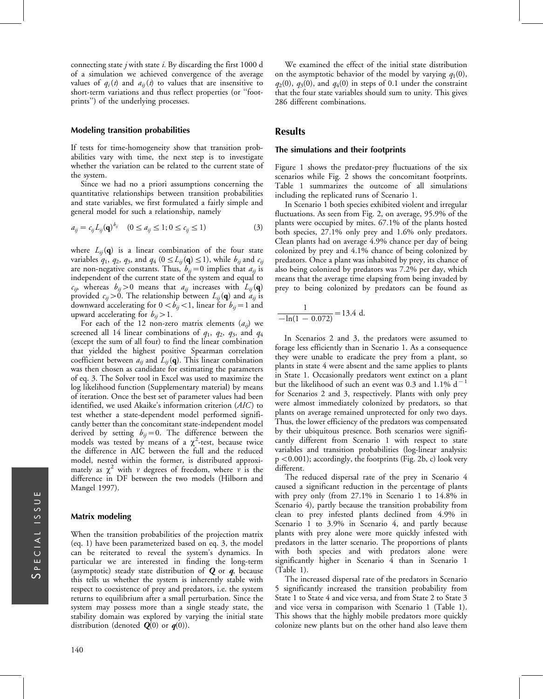connecting state  $j$  with state  $i$ . By discarding the first 1000 d of a simulation we achieved convergence of the average values of  $q_i(t)$  and  $a_{ii}(t)$  to values that are insensitive to short-term variations and thus reflect properties (or ''footprints'') of the underlying processes.

#### Modeling transition probabilities

If tests for time-homogeneity show that transition probabilities vary with time, the next step is to investigate whether the variation can be related to the current state of the system.

Since we had no a priori assumptions concerning the quantitative relationships between transition probabilities and state variables, we first formulated a fairly simple and general model for such a relationship, namely

$$
a_{ij} = c_{ij} L_{ij}(\mathbf{q})^{b_{ij}} \quad (0 \le a_{ij} \le 1; 0 \le c_{ij} \le 1)
$$
 (3)

where  $L_{ij}(\mathbf{q})$  is a linear combination of the four state variables  $q_1$ ,  $q_2$ ,  $q_3$ , and  $q_4$  ( $0 \le L_{ij}(\mathbf{q}) \le 1$ ), while  $b_{ij}$  and  $c_{ij}$ are non-negative constants. Thus,  $b_{ij}=0$  implies that  $a_{ij}$  is independent of the current state of the system and equal to  $c_{ij}$ , whereas  $b_{ij}$  > 0 means that  $a_{ij}$  increases with  $L_{ij}(\mathbf{q})$ provided  $c_{ij} > 0$ . The relationship between  $L_{ij}(\mathbf{q})$  and  $a_{ij}$  is downward accelerating for  $0 < b_{ij} < 1$ , linear for  $b_{ij} = 1$  and upward accelerating for  $b_{ij} > 1$ .

For each of the 12 non-zero matrix elements  $(a_{ii})$  we screened all 14 linear combinations of  $q_1$ ,  $q_2$ ,  $q_3$ , and  $q_4$ (except the sum of all four) to find the linear combination that yielded the highest positive Spearman correlation coefficient between  $a_{ij}$  and  $L_{ij}(\mathbf{q})$ . This linear combination was then chosen as candidate for estimating the parameters of eq. 3. The Solver tool in Excel was used to maximize the log likelihood function (Supplementary material) by means of iteration. Once the best set of parameter values had been identified, we used Akaike's information criterion  $(AIC)$  to test whether a state-dependent model performed significantly better than the concomitant state-independent model derived by setting  $b_{ij}=0$ . The difference between the models was tested by means of a  $\chi^2$ -test, because twice the difference in AIC between the full and the reduced model, nested within the former, is distributed approximately as  $\chi^2$  with v degrees of freedom, where v is the difference in DF between the two models (Hilborn and Mangel 1997).

#### Matrix modeling

When the transition probabilities of the projection matrix (eq. 1) have been parameterized based on eq. 3, the model can be reiterated to reveal the system's dynamics. In particular we are interested in finding the long-term (asymptotic) steady state distribution of  $Q$  or  $q$ , because this tells us whether the system is inherently stable with respect to coexistence of prey and predators, i.e. the system returns to equilibrium after a small perturbation. Since the system may possess more than a single steady state, the stability domain was explored by varying the initial state distribution (denoted  $Q(0)$  or  $q(0)$ ).

We examined the effect of the initial state distribution on the asymptotic behavior of the model by varying  $q_1(0)$ ,  $q_2(0)$ ,  $q_3(0)$ , and  $q_4(0)$  in steps of 0.1 under the constraint that the four state variables should sum to unity. This gives 286 different combinations.

## Results

#### The simulations and their footprints

Figure 1 shows the predator-prey fluctuations of the six scenarios while Fig. 2 shows the concomitant footprints. Table 1 summarizes the outcome of all simulations including the replicated runs of Scenario 1.

In Scenario 1 both species exhibited violent and irregular fluctuations. As seen from Fig. 2, on average, 95.9% of the plants were occupied by mites. 67.1% of the plants hosted both species, 27.1% only prey and 1.6% only predators. Clean plants had on average 4.9% chance per day of being colonized by prey and 4.1% chance of being colonized by predators. Once a plant was inhabited by prey, its chance of also being colonized by predators was 7.2% per day, which means that the average time elapsing from being invaded by prey to being colonized by predators can be found as

$$
\frac{1}{-\ln(1 - 0.072)} = 13.4 \text{ d.}
$$

In Scenarios 2 and 3, the predators were assumed to forage less efficiently than in Scenario 1. As a consequence they were unable to eradicate the prey from a plant, so plants in state 4 were absent and the same applies to plants in State 1. Occasionally predators went extinct on a plant but the likelihood of such an event was 0.3 and 1.1%  $d^{-1}$ for Scenarios 2 and 3, respectively. Plants with only prey were almost immediately colonized by predators, so that plants on average remained unprotected for only two days. Thus, the lower efficiency of the predators was compensated by their ubiquitous presence. Both scenarios were significantly different from Scenario 1 with respect to state variables and transition probabilities (log-linear analysis:  $p < 0.001$ ); accordingly, the footprints (Fig. 2b, c) look very different.

The reduced dispersal rate of the prey in Scenario 4 caused a significant reduction in the percentage of plants with prey only (from 27.1% in Scenario 1 to 14.8% in Scenario 4), partly because the transition probability from clean to prey infested plants declined from 4.9% in Scenario 1 to 3.9% in Scenario 4, and partly because plants with prey alone were more quickly infested with predators in the latter scenario. The proportions of plants with both species and with predators alone were significantly higher in Scenario 4 than in Scenario 1 (Table 1).

The increased dispersal rate of the predators in Scenario 5 significantly increased the transition probability from State 1 to State 4 and vice versa, and from State 2 to State 3 and vice versa in comparison with Scenario 1 (Table 1). This shows that the highly mobile predators more quickly colonize new plants but on the other hand also leave them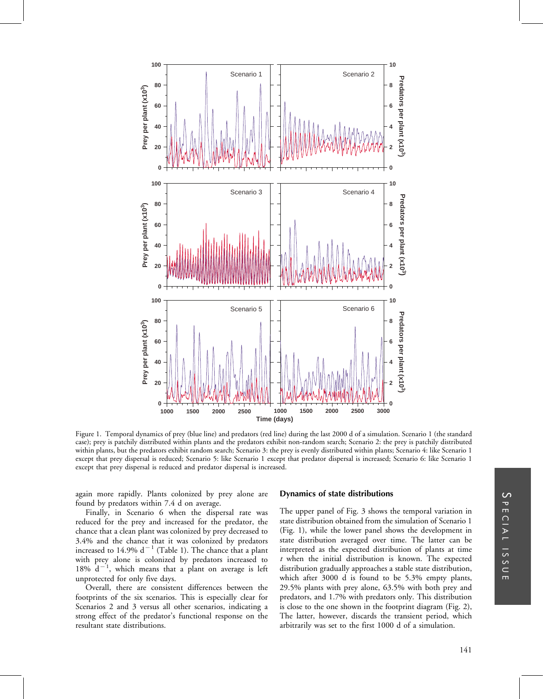

Figure 1. Temporal dynamics of prey (blue line) and predators (red line) during the last 2000 d of a simulation. Scenario 1 (the standard case); prey is patchily distributed within plants and the predators exhibit non-random search; Scenario 2: the prey is patchily distributed within plants, but the predators exhibit random search; Scenario 3: the prey is evenly distributed within plants; Scenario 4: like Scenario 1 except that prey dispersal is reduced; Scenario 5: like Scenario 1 except that predator dispersal is increased; Scenario 6: like Scenario 1 except that prey dispersal is reduced and predator dispersal is increased.

again more rapidly. Plants colonized by prey alone are found by predators within 7.4 d on average.

Finally, in Scenario 6 when the dispersal rate was reduced for the prey and increased for the predator, the chance that a clean plant was colonized by prey decreased to 3.4% and the chance that it was colonized by predators increased to 14.9%  $d^{-1}$  (Table 1). The chance that a plant with prey alone is colonized by predators increased to 18%  $d^{-1}$ , which means that a plant on average is left unprotected for only five days.

Overall, there are consistent differences between the footprints of the six scenarios. This is especially clear for Scenarios 2 and 3 versus all other scenarios, indicating a strong effect of the predator's functional response on the resultant state distributions.

#### Dynamics of state distributions

The upper panel of Fig. 3 shows the temporal variation in state distribution obtained from the simulation of Scenario 1 (Fig. 1), while the lower panel shows the development in state distribution averaged over time. The latter can be interpreted as the expected distribution of plants at time  $t$  when the initial distribution is known. The expected distribution gradually approaches a stable state distribution, which after 3000 d is found to be 5.3% empty plants, 29.5% plants with prey alone, 63.5% with both prey and predators, and 1.7% with predators only. This distribution is close to the one shown in the footprint diagram (Fig. 2), The latter, however, discards the transient period, which arbitrarily was set to the first 1000 d of a simulation.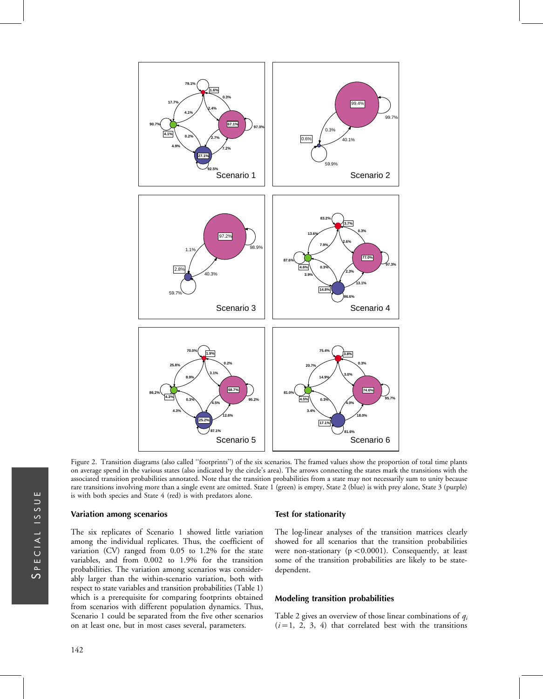

Figure 2. Transition diagrams (also called ''footprints'') of the six scenarios. The framed values show the proportion of total time plants on average spend in the various states (also indicated by the circle's area). The arrows connecting the states mark the transitions with the associated transition probabilities annotated. Note that the transition probabilities from a state may not necessarily sum to unity because rare transitions involving more than a single event are omitted. State 1 (green) is empty, State 2 (blue) is with prey alone, State 3 (purple) is with both species and State 4 (red) is with predators alone.

#### Variation among scenarios

The six replicates of Scenario 1 showed little variation among the individual replicates. Thus, the coefficient of variation (CV) ranged from 0.05 to 1.2% for the state variables, and from 0.002 to 1.9% for the transition probabilities. The variation among scenarios was considerably larger than the within-scenario variation, both with respect to state variables and transition probabilities (Table 1) which is a prerequisite for comparing footprints obtained from scenarios with different population dynamics. Thus, Scenario 1 could be separated from the five other scenarios on at least one, but in most cases several, parameters.

#### Test for stationarity

The log-linear analyses of the transition matrices clearly showed for all scenarios that the transition probabilities were non-stationary ( $p < 0.0001$ ). Consequently, at least some of the transition probabilities are likely to be statedependent.

#### Modeling transition probabilities

Table 2 gives an overview of those linear combinations of  $q_i$  $(i=1, 2, 3, 4)$  that correlated best with the transitions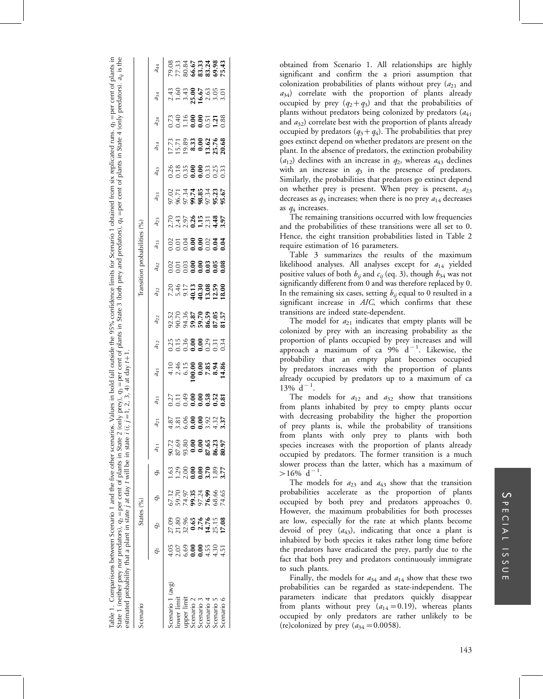| Table 1. Comparisons between Scenario 1 and the five other scenarios. Values in bold fall outside the 95% confidence limits for Scenario 1 obtained from six replicated runs. $q_1$ =per cent of plants in<br>State 1 (neither prey nor predators), $q_2$ = per cent of plants in State 2<br>estimated probability that a plant in state <i>j</i> at day <i>t</i> will be in state <i>i</i> |         |                                       |                                           |         |                                                                                                                                                                                                                                                                                                                                                                                                                                                                                                                                   |                                                                 |                     | (only prey), $q_3$ = per cent of plants in State 3 (both prey and predators), $q_4$ = per cent of plants in State 4 (only predators), $a_j$ is the (i, j = 1, 2, 3, 4) at day t+1. |           |                                                            |                                                                                               |                                      |            |            |                                                                                                                                                                                                                                                                                           |                                                           |                                                                                 |          |          |                                                  |
|---------------------------------------------------------------------------------------------------------------------------------------------------------------------------------------------------------------------------------------------------------------------------------------------------------------------------------------------------------------------------------------------|---------|---------------------------------------|-------------------------------------------|---------|-----------------------------------------------------------------------------------------------------------------------------------------------------------------------------------------------------------------------------------------------------------------------------------------------------------------------------------------------------------------------------------------------------------------------------------------------------------------------------------------------------------------------------------|-----------------------------------------------------------------|---------------------|------------------------------------------------------------------------------------------------------------------------------------------------------------------------------------|-----------|------------------------------------------------------------|-----------------------------------------------------------------------------------------------|--------------------------------------|------------|------------|-------------------------------------------------------------------------------------------------------------------------------------------------------------------------------------------------------------------------------------------------------------------------------------------|-----------------------------------------------------------|---------------------------------------------------------------------------------|----------|----------|--------------------------------------------------|
| Scenario                                                                                                                                                                                                                                                                                                                                                                                    |         |                                       | States (%)                                |         |                                                                                                                                                                                                                                                                                                                                                                                                                                                                                                                                   |                                                                 |                     |                                                                                                                                                                                    |           |                                                            |                                                                                               | Transition probabilities (%)         |            |            |                                                                                                                                                                                                                                                                                           |                                                           |                                                                                 |          |          |                                                  |
|                                                                                                                                                                                                                                                                                                                                                                                             |         | $q_2$                                 | o<br>G                                    | $q_4$   |                                                                                                                                                                                                                                                                                                                                                                                                                                                                                                                                   | $a_{21}$                                                        | $\overline{a}_{31}$ | $a_{41}$                                                                                                                                                                           | $a_{12}$  | $a_{22}$                                                   | $a_{32}$                                                                                      | $a_{42}$                             | $a_{13}$   | $a_{23}$   | $a_{33}$                                                                                                                                                                                                                                                                                  | $a_{43}$                                                  | $a_{14}$                                                                        | $a_{24}$ | $a_{34}$ | $a_{44}$                                         |
| Scenario 1 (avg)                                                                                                                                                                                                                                                                                                                                                                            | $-10.1$ |                                       | 67.12                                     |         | 90.72                                                                                                                                                                                                                                                                                                                                                                                                                                                                                                                             |                                                                 |                     |                                                                                                                                                                                    |           |                                                            |                                                                                               |                                      |            |            |                                                                                                                                                                                                                                                                                           |                                                           |                                                                                 |          |          |                                                  |
| ower limit                                                                                                                                                                                                                                                                                                                                                                                  |         |                                       |                                           | 29      |                                                                                                                                                                                                                                                                                                                                                                                                                                                                                                                                   |                                                                 |                     |                                                                                                                                                                                    |           |                                                            |                                                                                               |                                      |            |            |                                                                                                                                                                                                                                                                                           |                                                           |                                                                                 |          |          |                                                  |
|                                                                                                                                                                                                                                                                                                                                                                                             |         |                                       |                                           | 2.00    |                                                                                                                                                                                                                                                                                                                                                                                                                                                                                                                                   |                                                                 |                     |                                                                                                                                                                                    |           |                                                            |                                                                                               |                                      |            |            |                                                                                                                                                                                                                                                                                           |                                                           |                                                                                 |          |          |                                                  |
| upper limit<br>Scenario 2                                                                                                                                                                                                                                                                                                                                                                   |         |                                       |                                           | 0.00000 |                                                                                                                                                                                                                                                                                                                                                                                                                                                                                                                                   |                                                                 |                     |                                                                                                                                                                                    |           |                                                            |                                                                                               |                                      |            |            |                                                                                                                                                                                                                                                                                           |                                                           |                                                                                 |          |          |                                                  |
| Scenario 3                                                                                                                                                                                                                                                                                                                                                                                  |         | 09<br>21.89 <b>65<br/>22.99.14.76</b> |                                           |         |                                                                                                                                                                                                                                                                                                                                                                                                                                                                                                                                   |                                                                 |                     |                                                                                                                                                                                    |           |                                                            |                                                                                               |                                      |            |            |                                                                                                                                                                                                                                                                                           |                                                           |                                                                                 |          |          |                                                  |
| Scenario 4                                                                                                                                                                                                                                                                                                                                                                                  |         |                                       |                                           | 3.70    |                                                                                                                                                                                                                                                                                                                                                                                                                                                                                                                                   |                                                                 |                     |                                                                                                                                                                                    |           |                                                            |                                                                                               |                                      |            |            |                                                                                                                                                                                                                                                                                           |                                                           |                                                                                 |          |          |                                                  |
| Scenario 5                                                                                                                                                                                                                                                                                                                                                                                  |         | 25.15                                 | 09.70<br>74.97<br>89.24<br>76.99<br>74.65 | 89.     | $\begin{array}{@{}c@{\thinspace}c@{\thinspace}c@{\thinspace}c@{\thinspace}c@{\thinspace}c@{\thinspace}c@{\thinspace}c@{\thinspace}c@{\thinspace}c@{\thinspace}c@{\thinspace}c@{\thinspace}c@{\thinspace}c@{\thinspace}c@{\thinspace}c@{\thinspace}c@{\thinspace}c@{\thinspace}c@{\thinspace}c@{\thinspace}c@{\thinspace}c@{\thinspace}c@{\thinspace}c@{\thinspace}c@{\thinspace}c@{\thinspace}c@{\thinspace}c@{\thinspace}c@{\thinspace}c@{\thinspace}c@{\thinspace}c@{\thinspace}c@{\thinspace}c@{\thinspace}c@{\thinspace}c@{\$ | 858888325<br>4 m <b>6 0 0</b> 0 m 4 m<br>4 m 6 <b>0 0</b> m 4 m | 2779809355          |                                                                                                                                                                                    | 898888534 | 32.52<br>20.73. <b>82.75</b><br>20.88.88.57<br>20.88.88.88 | $7.46$<br>$7.47$<br>$-5.38$<br>$-5.38$<br>$-5.39$<br>$-5.59$<br>$-5.59$<br>$-5.59$<br>$-5.59$ | 858 <b>88888</b><br>868 <b>88888</b> | 0.53880333 | 2458977789 | $\frac{25}{25}$<br>$\frac{27}{25}$<br>$\frac{27}{25}$<br>$\frac{27}{25}$<br>$\frac{28}{25}$<br>$\frac{27}{25}$<br>$\frac{27}{25}$<br>$\frac{27}{25}$<br>$\frac{27}{25}$<br>$\frac{27}{25}$<br>$\frac{27}{25}$<br>$\frac{27}{25}$<br>$\frac{27}{25}$<br>$\frac{27}{25}$<br>$\frac{27}{25}$ | 88 88 88 88 88<br>000 88 88 88 89 89<br>000 88 88 88 89 8 | $17.73$<br>$15.78$<br>$19.33$<br>$0.33$<br>$0.35$<br>$0.56$<br>$0.30$<br>$0.68$ |          |          | 08<br>0.334 <b>673348</b><br>0.734 <b>673348</b> |
| Scenario 6                                                                                                                                                                                                                                                                                                                                                                                  | 4.51    |                                       |                                           | 3.77    |                                                                                                                                                                                                                                                                                                                                                                                                                                                                                                                                   |                                                                 |                     |                                                                                                                                                                                    |           |                                                            |                                                                                               |                                      |            |            |                                                                                                                                                                                                                                                                                           |                                                           |                                                                                 |          |          |                                                  |
|                                                                                                                                                                                                                                                                                                                                                                                             |         |                                       |                                           |         |                                                                                                                                                                                                                                                                                                                                                                                                                                                                                                                                   |                                                                 |                     |                                                                                                                                                                                    |           |                                                            |                                                                                               |                                      |            |            |                                                                                                                                                                                                                                                                                           |                                                           |                                                                                 |          |          |                                                  |

obtained from Scenario 1. All relationships are highly significant and confirm the a priori assumption that colonization probabilities of plants without prey  $(a_{21}$  and  $a_{34}$ ) correlate with the proportion of plants already occupied by prey  $(q_2+q_3)$  and that the probabilities of plants without predators being colonized by predators  $(a_{41})$ and  $a_{32}$ ) correlate best with the proportion of plants already occupied by predators  $(q_3+q_4)$ . The probabilities that prey goes extinct depend on whether predators are present on the plant. In the absence of predators, the extinction probability  $(a_{12})$  declines with an increase in  $q_2$ , whereas  $a_{43}$  declines with an increase in  $q_3$  in the presence of predators. Similarly, the probabilities that predators go extinct depend on whether prey is present. When prey is present,  $a_{23}$ decreases as  $q_3$  increases; when there is no prey  $a_{14}$  decreases as q<sup>4</sup> increases.

The remaining transitions occurred with low frequencies and the probabilities of these transitions were all set to 0. Hence, the eight transition probabilities listed in Table 2 require estimation of 16 parameters.

Table 3 summarizes the results of the maximum likelihood analyses. All analyses except for  $a_{14}$  yielded positive values of both  $b_{ij}$  and  $c_{ij}$  (eq. 3), though  $b_{34}$  was not significantly different from 0 and was therefore replaced by 0. In the remaining six cases, setting  $b_{ij}$  equal to 0 resulted in a significant increase in AIC, which confirms that these transitions are indeed state-dependent.

The model for  $a_{21}$  indicates that empty plants will be colonized by prey with an increasing probability as the proportion of plants occupied by prey increases and will approach a maximum of ca  $9\%$   $d^{-1}$ . Likewise, the probability that an empty plant becomes occupied by predators increases with the proportion of plants already occupied by predators up to a maximum of ca  $13\% \text{ d}^{-1}$ .

The models for  $a_{12}$  and  $a_{32}$  show that transitions from plants inhabited by prey to empty plants occur with decreasing probability the higher the proportion of prey plants is, while the probability of transitions from plants with only prey to plants with both species increases with the proportion of plants already occupied by predators. The former transition is a much slower process than the latter, which has a maximum of  $>16\%$  d<sup>-1</sup>.

The models for  $a_{23}$  and  $a_{43}$  show that the transition probabilities accelerate as the proportion of plants occupied by both prey and predators approaches 0. However, the maximum probabilities for both processes are low, especially for the rate at which plants become devoid of prey  $(a_{43})$ , indicating that once a plant is inhabited by both species it takes rather long time before the predators have eradicated the prey, partly due to the fact that both prey and predators continuously immigrate to such plants.

Finally, the models for  $a_{34}$  and  $a_{14}$  show that these two probabilities can be regarded as state-independent. The parameters indicate that predators quickly disappear from plants without prey  $(a_{14} = 0.19)$ , whereas plants occupied by only predators are rather unlikely to be (re)colonized by prey  $(a_{34} = 0.0058)$ .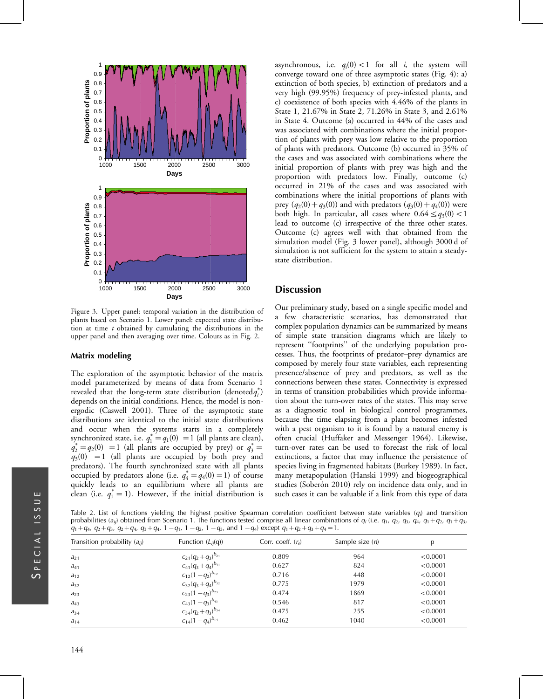

Figure 3. Upper panel: temporal variation in the distribution of plants based on Scenario 1. Lower panel: expected state distribution at time  $t$  obtained by cumulating the distributions in the upper panel and then averaging over time. Colours as in Fig. 2.

#### Matrix modeling

The exploration of the asymptotic behavior of the matrix model parameterized by means of data from Scenario 1 revealed that the long-term state distribution (denoted $q_i^*$ ) depends on the initial conditions. Hence, the model is nonergodic (Caswell 2001). Three of the asymptotic state distributions are identical to the initial state distributions and occur when the systems starts in a completely synchronized state, i.e.  $q_1^* = q_1(0) = 1$  (all plants are clean),  $q_2^* = q_2(0) = 1$  (all plants are occupied by prey) or  $q_3^* =$  $q_3(0) = 1$  (all plants are occupied by both prey and predators). The fourth synchronized state with all plants occupied by predators alone (i.e.  $q_4^* = q_4(0) = 1$ ) of course quickly leads to an equilibrium where all plants are clean (i.e.  $q_1^* = 1$ ). However, if the initial distribution is

asynchronous, i.e.  $q_i(0) < 1$  for all i, the system will converge toward one of three asymptotic states (Fig. 4): a) extinction of both species, b) extinction of predators and a very high (99.95%) frequency of prey-infested plants, and c) coexistence of both species with 4.46% of the plants in State 1, 21.67% in State 2, 71.26% in State 3, and 2.61% in State 4. Outcome (a) occurred in 44% of the cases and was associated with combinations where the initial proportion of plants with prey was low relative to the proportion of plants with predators. Outcome (b) occurred in 35% of the cases and was associated with combinations where the initial proportion of plants with prey was high and the proportion with predators low. Finally, outcome (c) occurred in 21% of the cases and was associated with combinations where the initial proportions of plants with prey  $(q_2(0)+q_3(0))$  and with predators  $(q_3(0)+q_4(0))$  were both high. In particular, all cases where  $0.64 \leq q_3(0) < 1$ lead to outcome (c) irrespective of the three other states. Outcome (c) agrees well with that obtained from the simulation model (Fig. 3 lower panel), although 3000 d of simulation is not sufficient for the system to attain a steadystate distribution.

# **Discussion**

Our preliminary study, based on a single specific model and a few characteristic scenarios, has demonstrated that complex population dynamics can be summarized by means of simple state transition diagrams which are likely to represent ''footprints'' of the underlying population processes. Thus, the footprints of predator-prey dynamics are composed by merely four state variables, each representing presence/absence of prey and predators, as well as the connections between these states. Connectivity is expressed in terms of transition probabilities which provide information about the turn-over rates of the states. This may serve as a diagnostic tool in biological control programmes, because the time elapsing from a plant becomes infested with a pest organism to it is found by a natural enemy is often crucial (Huffaker and Messenger 1964). Likewise, turn-over rates can be used to forecast the risk of local extinctions, a factor that may influence the persistence of species living in fragmented habitats (Burkey 1989). In fact, many metapopulation (Hanski 1999) and biogeographical studies (Soberón 2010) rely on incidence data only, and in such cases it can be valuable if a link from this type of data

Table 2. List of functions yielding the highest positive Spearman correlation coefficient between state variables (q<sub>i</sub>) and transition probabilities (a<sub>ij</sub>) obtained from Scenario 1. The functions tested comprise all linear combinations of  $q_i$  (i.e.  $q_1$ ,  $q_2$ ,  $q_3$ ,  $q_4$ ,  $q_1+q_2$ ,  $q_1+q_3$ ,  $q_1+q_4$ ,  $q_2+q_3$ ,  $q_2+q_4$ ,  $q_3+q_4$ ,  $1-q_1$ ,  $1-q_2$ ,  $1-q_3$ , and  $1-q_4$ ) except  $q_1+q_2+q_3+q_4=1$ .

| Transition probability $(a_{ii})$ | Function $(L_{ii}(q))$     | Corr. coeff. $(rs)$ | Sample size $(n)$ | p        |
|-----------------------------------|----------------------------|---------------------|-------------------|----------|
| $a_{21}$                          | $c_{21}(q_2+q_3)^{b_{21}}$ | 0.809               | 964               | < 0.0001 |
| $a_{41}$                          | $c_{41}(q_3+q_4)^{b_{41}}$ | 0.627               | 824               | < 0.0001 |
| $a_{12}$                          | $c_{12}(1-q_2)^{b_{12}}$   | 0.716               | 448               | < 0.0001 |
| $a_{32}$                          | $c_{32}(q_3+q_4)^{b_{32}}$ | 0.775               | 1979              | < 0.0001 |
| $a_{23}$                          | $c_{23}(1-q_3)^{b_{23}}$   | 0.474               | 1869              | < 0.0001 |
| $a_{43}$                          | $c_{43}(1-q_3)^{b_{43}}$   | 0.546               | 817               | < 0.0001 |
| $a_{34}$                          | $c_{34}(q_2+q_3)^{b_{34}}$ | 0.475               | 255               | < 0.0001 |
| $a_{14}$                          | $c_{14}(1-q_4)^{b_{14}}$   | 0.462               | 1040              | < 0.0001 |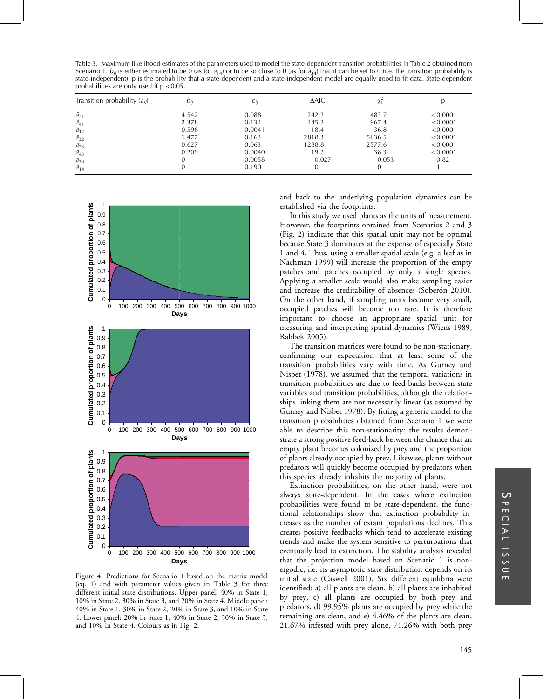Table 3. Maximum likelihood estimates of the parameters used to model the state-dependent transition probabilities in Table 2 obtained from Scenario 1.  $b_{ij}$  is either estimated to be 0 (as for  $\hat{a}_{14}$ ) or to be so close to 0 (as for  $\hat{a}_{34}$ ) that it can be set to 0 (i.e. the transition probability is state-independent). p is the probability that a state-dependent and a state-independent model are equally good to fit data. State-dependent probabilities are only used if  $p < 0.05$ .

| Transition probability $(a_{ii})$ | $b_{ii}$ | $c_{ii}$ | $\triangle$ AIC |        |          |
|-----------------------------------|----------|----------|-----------------|--------|----------|
| $\hat{a}_{21}$                    | 4.542    | 0.088    | 242.2           | 483.7  | < 0.0001 |
| $\hat{a}_{41}$                    | 2.378    | 0.134    | 445.2           | 967.4  | < 0.0001 |
| $\hat{a}_{12}$                    | 0.596    | 0.0041   | 18.4            | 36.8   | < 0.0001 |
| $\hat{a}_{32}$                    | 1.477    | 0.163    | 2818.3          | 5636.5 | < 0.0001 |
| $\hat{a}_{23}$                    | 0.627    | 0.063    | 1288.8          | 2577.6 | < 0.0001 |
| $\hat{a}_{43}$                    | 0.209    | 0.0040   | 19.2            | 38.3   | < 0.0001 |
| $\hat{a}_{34}$                    |          | 0.0058   | 0.027           | 0.053  | 0.82     |
| $\hat{a}_{14}$                    |          | 0.190    |                 |        |          |



Figure 4. Predictions for Scenario 1 based on the matrix model (eq. 1) and with parameter values given in Table 3 for three different initial state distributions. Upper panel: 40% in State 1, 10% in State 2, 30% in State 3, and 20% in State 4. Middle panel: 40% in State 1, 30% in State 2, 20% in State 3, and 10% in State 4. Lower panel: 20% in State 1, 40% in State 2, 30% in State 3, and 10% in State 4. Colours as in Fig. 2.

and back to the underlying population dynamics can be established via the footprints.

In this study we used plants as the units of measurement. However, the footprints obtained from Scenarios 2 and 3 (Fig. 2) indicate that this spatial unit may not be optimal because State 3 dominates at the expense of especially State 1 and 4. Thus, using a smaller spatial scale (e.g. a leaf as in Nachman 1999) will increase the proportion of the empty patches and patches occupied by only a single species. Applying a smaller scale would also make sampling easier and increase the creditability of absences (Soberón 2010). On the other hand, if sampling units become very small, occupied patches will become too rare. It is therefore important to choose an appropriate spatial unit for measuring and interpreting spatial dynamics (Wiens 1989, Rahbek 2005).

The transition matrices were found to be non-stationary, confirming our expectation that at least some of the transition probabilities vary with time. As Gurney and Nisbet (1978), we assumed that the temporal variations in transition probabilities are due to feed-backs between state variables and transition probabilities, although the relationships linking them are not necessarily linear (as assumed by Gurney and Nisbet 1978). By fitting a generic model to the transition probabilities obtained from Scenario 1 we were able to describe this non-stationarity: the results demonstrate a strong positive feed-back between the chance that an empty plant becomes colonized by prey and the proportion of plants already occupied by prey. Likewise, plants without predators will quickly become occupied by predators when this species already inhabits the majority of plants.

Extinction probabilities, on the other hand, were not always state-dependent. In the cases where extinction probabilities were found to be state-dependent, the functional relationships show that extinction probability increases as the number of extant populations declines. This creates positive feedbacks which tend to accelerate existing trends and make the system sensitive to perturbations that eventually lead to extinction. The stability analysis revealed that the projection model based on Scenario 1 is nonergodic, i.e. its asymptotic state distribution depends on its initial state (Caswell 2001). Six different equilibria were identified: a) all plants are clean, b) all plants are inhabited by prey, c) all plants are occupied by both prey and predators, d) 99.95% plants are occupied by prey while the remaining are clean, and e) 4.46% of the plants are clean, 21.67% infested with prey alone, 71.26% with both prey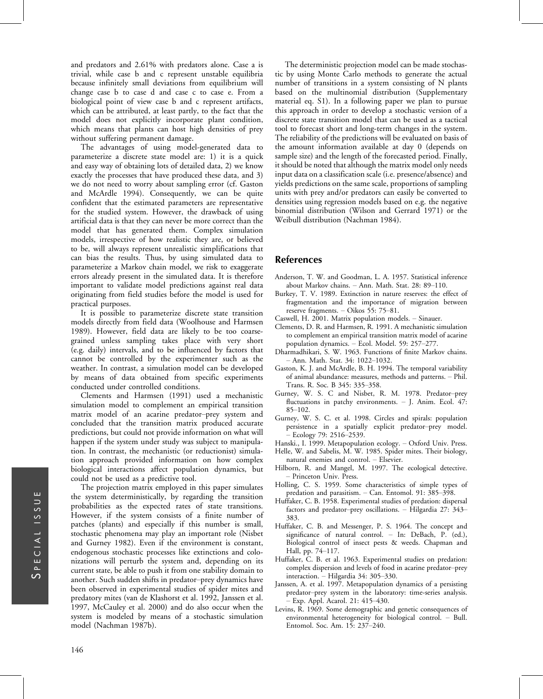and predators and 2.61% with predators alone. Case a is trivial, while case b and c represent unstable equilibria because infinitely small deviations from equilibrium will change case b to case d and case c to case e. From a biological point of view case b and c represent artifacts, which can be attributed, at least partly, to the fact that the model does not explicitly incorporate plant condition, which means that plants can host high densities of prey without suffering permanent damage.

The advantages of using model-generated data to parameterize a discrete state model are: 1) it is a quick and easy way of obtaining lots of detailed data, 2) we know exactly the processes that have produced these data, and 3) we do not need to worry about sampling error (cf. Gaston and McArdle 1994). Consequently, we can be quite confident that the estimated parameters are representative for the studied system. However, the drawback of using artificial data is that they can never be more correct than the model that has generated them. Complex simulation models, irrespective of how realistic they are, or believed to be, will always represent unrealistic simplifications that can bias the results. Thus, by using simulated data to parameterize a Markov chain model, we risk to exaggerate errors already present in the simulated data. It is therefore important to validate model predictions against real data originating from field studies before the model is used for practical purposes.

It is possible to parameterize discrete state transition models directly from field data (Woolhouse and Harmsen 1989). However, field data are likely to be too coarsegrained unless sampling takes place with very short (e.g. daily) intervals, and to be influenced by factors that cannot be controlled by the experimenter such as the weather. In contrast, a simulation model can be developed by means of data obtained from specific experiments conducted under controlled conditions.

Clements and Harmsen (1991) used a mechanistic simulation model to complement an empirical transition matrix model of an acarine predator-prey system and concluded that the transition matrix produced accurate predictions, but could not provide information on what will happen if the system under study was subject to manipulation. In contrast, the mechanistic (or reductionist) simulation approach provided information on how complex biological interactions affect population dynamics, but could not be used as a predictive tool.

The projection matrix employed in this paper simulates the system deterministically, by regarding the transition probabilities as the expected rates of state transitions. However, if the system consists of a finite number of patches (plants) and especially if this number is small, stochastic phenomena may play an important role (Nisbet and Gurney 1982). Even if the environment is constant, endogenous stochastic processes like extinctions and colonizations will perturb the system and, depending on its current state, be able to push it from one stability domain to another. Such sudden shifts in predator-prey dynamics have been observed in experimental studies of spider mites and predatory mites (van de Klashorst et al. 1992, Janssen et al. 1997, McCauley et al. 2000) and do also occur when the system is modeled by means of a stochastic simulation model (Nachman 1987b).

The deterministic projection model can be made stochastic by using Monte Carlo methods to generate the actual number of transitions in a system consisting of N plants based on the multinomial distribution (Supplementary material eq. S1). In a following paper we plan to pursue this approach in order to develop a stochastic version of a discrete state transition model that can be used as a tactical tool to forecast short and long-term changes in the system. The reliability of the predictions will be evaluated on basis of the amount information available at day 0 (depends on sample size) and the length of the forecasted period. Finally, it should be noted that although the matrix model only needs input data on a classification scale (i.e. presence/absence) and yields predictions on the same scale, proportions of sampling units with prey and/or predators can easily be converted to densities using regression models based on e.g. the negative binomial distribution (Wilson and Gerrard 1971) or the Weibull distribution (Nachman 1984).

# References

- Anderson, T. W. and Goodman, L. A. 1957. Statistical inference about Markov chains. - Ann. Math. Stat. 28: 89-110.
- Burkey, T. V. 1989. Extinction in nature reserves: the effect of fragmentation and the importance of migration between reserve fragments. - Oikos 55: 75-81.
- Caswell, H. 2001. Matrix population models. Sinauer.
- Clements, D. R. and Harmsen, R. 1991. A mechanistic simulation to complement an empirical transition matrix model of acarine population dynamics. - Ecol. Model. 59: 257-277.
- Dharmadhikari, S. W. 1963. Functions of finite Markov chains. - Ann. Math. Stat. 34: 1022-1032.
- Gaston, K. J. and McArdle, B. H. 1994. The temporal variability of animal abundance: measures, methods and patterns. Phil. Trans. R. Soc. B 345: 335-358.
- Gurney, W. S. C and Nisbet, R. M. 1978. Predator-prey fluctuations in patchy environments.  $-$  J. Anim. Ecol. 47:  $85 - 102$ .
- Gurney, W. S. C. et al. 1998. Circles and spirals: population persistence in a spatially explicit predator-prey model. Ecology 79: 2516-2539.

Hanski., I. 1999. Metapopulation ecology. - Oxford Univ. Press.

- Helle, W. and Sabelis, M. W. 1985. Spider mites. Their biology, natural enemies and control. Elsevier.
- Hilborn, R. and Mangel, M. 1997. The ecological detective. - Princeton Univ. Press.
- Holling, C. S. 1959. Some characteristics of simple types of predation and parasitism.  $-$  Can. Entomol. 91: 385-398.
- Huffaker, C. B. 1958. Experimental studies of predation: dispersal factors and predator-prey oscillations.  $-$  Hilgardia 27: 343-383.
- Huffaker, C. B. and Messenger, P. S. 1964. The concept and significance of natural control.  $-$  In: DeBach, P. (ed.), Biological control of insect pests & weeds. Chapman and Hall, pp. 74-117.
- Huffaker, C. B. et al. 1963. Experimental studies on predation: complex dispersion and levels of food in acarine predator-prey interaction.  $-$  Hilgardia 34: 305-330.
- Janssen, A. et al. 1997. Metapopulation dynamics of a persisting predator-prey system in the laboratory: time-series analysis. Exp. Appl. Acarol. 21: 415-430.
- Levins, R. 1969. Some demographic and genetic consequences of environmental heterogeneity for biological control. - Bull. Entomol. Soc. Am. 15: 237-240.